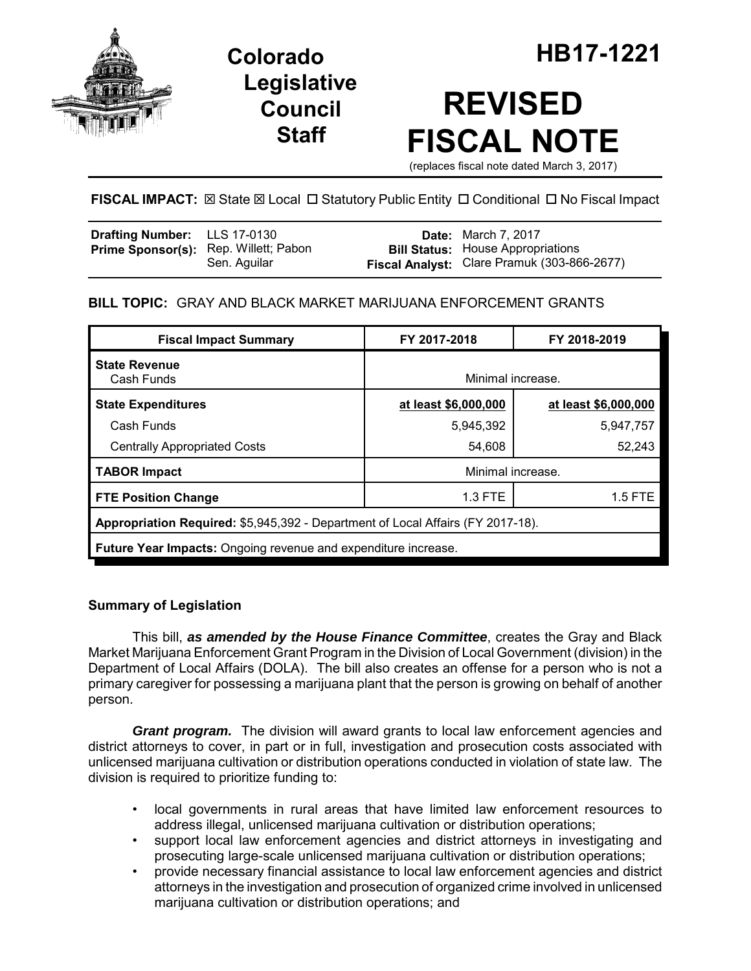

**Legislative Council Staff**

# **REVISED FISCAL NOTE**

(replaces fiscal note dated March 3, 2017)

# **FISCAL IMPACT:** ⊠ State ⊠ Local □ Statutory Public Entity □ Conditional □ No Fiscal Impact

| <b>Drafting Number:</b> LLS 17-0130          |              | <b>Date:</b> March 7, 2017                                                              |
|----------------------------------------------|--------------|-----------------------------------------------------------------------------------------|
| <b>Prime Sponsor(s):</b> Rep. Willett; Pabon | Sen. Aquilar | <b>Bill Status:</b> House Appropriations<br>Fiscal Analyst: Clare Pramuk (303-866-2677) |

## **BILL TOPIC:** GRAY AND BLACK MARKET MARIJUANA ENFORCEMENT GRANTS

| <b>Fiscal Impact Summary</b>                                                    | FY 2017-2018         | FY 2018-2019         |  |  |  |
|---------------------------------------------------------------------------------|----------------------|----------------------|--|--|--|
| <b>State Revenue</b><br>Cash Funds                                              | Minimal increase.    |                      |  |  |  |
| <b>State Expenditures</b>                                                       | at least \$6,000,000 | at least \$6,000,000 |  |  |  |
| Cash Funds                                                                      | 5,945,392            | 5,947,757            |  |  |  |
| <b>Centrally Appropriated Costs</b>                                             | 54,608               | 52,243               |  |  |  |
| <b>TABOR Impact</b>                                                             |                      | Minimal increase.    |  |  |  |
| <b>FTE Position Change</b>                                                      | $1.3$ FTE            | $1.5$ FTE            |  |  |  |
| Appropriation Required: \$5,945,392 - Department of Local Affairs (FY 2017-18). |                      |                      |  |  |  |
| <b>Future Year Impacts:</b> Ongoing revenue and expenditure increase.           |                      |                      |  |  |  |

## **Summary of Legislation**

This bill, *as amended by the House Finance Committee*, creates the Gray and Black Market Marijuana Enforcement Grant Program in the Division of Local Government (division) in the Department of Local Affairs (DOLA). The bill also creates an offense for a person who is not a primary caregiver for possessing a marijuana plant that the person is growing on behalf of another person.

*Grant program.* The division will award grants to local law enforcement agencies and district attorneys to cover, in part or in full, investigation and prosecution costs associated with unlicensed marijuana cultivation or distribution operations conducted in violation of state law. The division is required to prioritize funding to:

- local governments in rural areas that have limited law enforcement resources to address illegal, unlicensed marijuana cultivation or distribution operations;
- support local law enforcement agencies and district attorneys in investigating and prosecuting large-scale unlicensed marijuana cultivation or distribution operations;
- provide necessary financial assistance to local law enforcement agencies and district attorneys in the investigation and prosecution of organized crime involved in unlicensed marijuana cultivation or distribution operations; and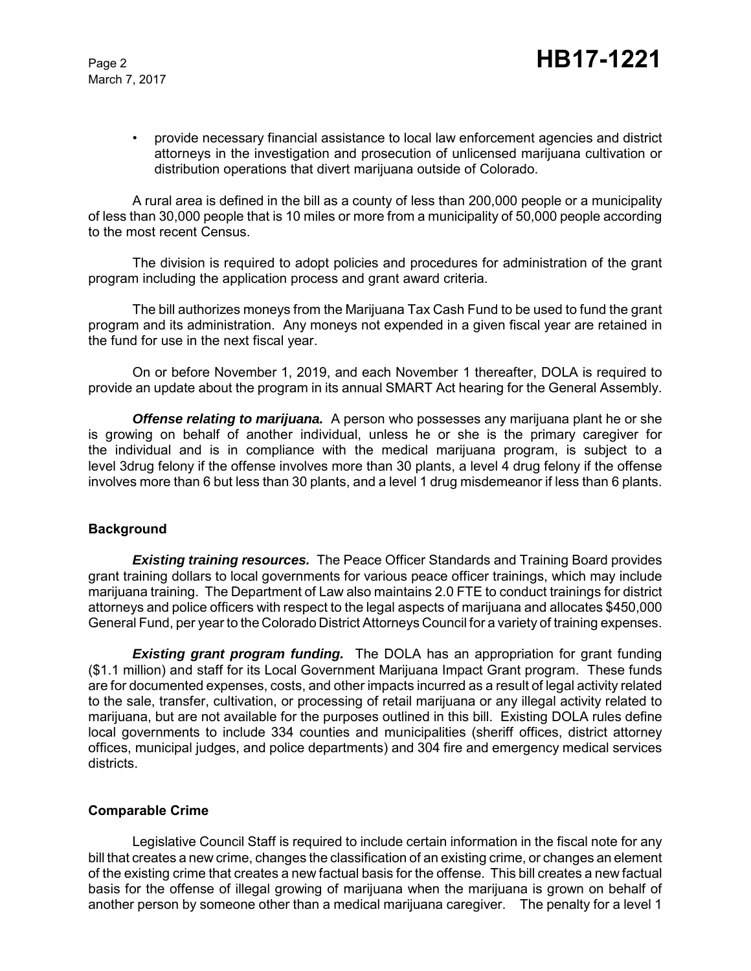• provide necessary financial assistance to local law enforcement agencies and district attorneys in the investigation and prosecution of unlicensed marijuana cultivation or distribution operations that divert marijuana outside of Colorado.

A rural area is defined in the bill as a county of less than 200,000 people or a municipality of less than 30,000 people that is 10 miles or more from a municipality of 50,000 people according to the most recent Census.

The division is required to adopt policies and procedures for administration of the grant program including the application process and grant award criteria.

The bill authorizes moneys from the Marijuana Tax Cash Fund to be used to fund the grant program and its administration. Any moneys not expended in a given fiscal year are retained in the fund for use in the next fiscal year.

On or before November 1, 2019, and each November 1 thereafter, DOLA is required to provide an update about the program in its annual SMART Act hearing for the General Assembly.

*Offense relating to marijuana.* A person who possesses any marijuana plant he or she is growing on behalf of another individual, unless he or she is the primary caregiver for the individual and is in compliance with the medical marijuana program, is subject to a level 3drug felony if the offense involves more than 30 plants, a level 4 drug felony if the offense involves more than 6 but less than 30 plants, and a level 1 drug misdemeanor if less than 6 plants.

#### **Background**

*Existing training resources.* The Peace Officer Standards and Training Board provides grant training dollars to local governments for various peace officer trainings, which may include marijuana training. The Department of Law also maintains 2.0 FTE to conduct trainings for district attorneys and police officers with respect to the legal aspects of marijuana and allocates \$450,000 General Fund, per year to the Colorado District Attorneys Council for a variety of training expenses.

*Existing grant program funding.* The DOLA has an appropriation for grant funding (\$1.1 million) and staff for its Local Government Marijuana Impact Grant program. These funds are for documented expenses, costs, and other impacts incurred as a result of legal activity related to the sale, transfer, cultivation, or processing of retail marijuana or any illegal activity related to marijuana, but are not available for the purposes outlined in this bill. Existing DOLA rules define local governments to include 334 counties and municipalities (sheriff offices, district attorney offices, municipal judges, and police departments) and 304 fire and emergency medical services districts.

#### **Comparable Crime**

Legislative Council Staff is required to include certain information in the fiscal note for any bill that creates a new crime, changes the classification of an existing crime, or changes an element of the existing crime that creates a new factual basis for the offense. This bill creates a new factual basis for the offense of illegal growing of marijuana when the marijuana is grown on behalf of another person by someone other than a medical marijuana caregiver. The penalty for a level 1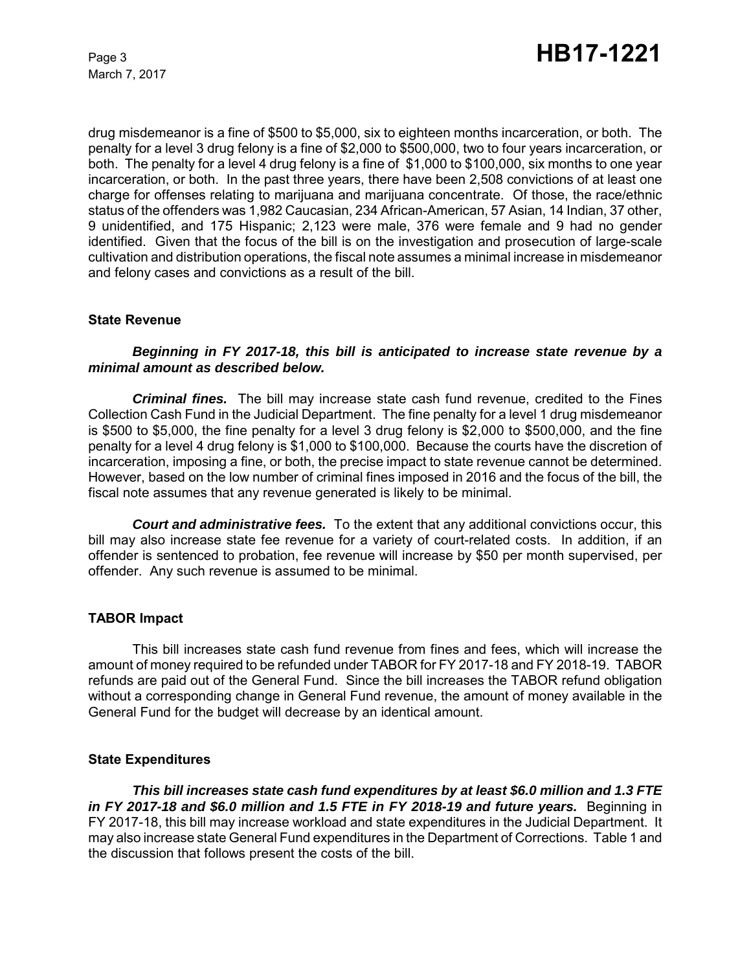drug misdemeanor is a fine of \$500 to \$5,000, six to eighteen months incarceration, or both. The penalty for a level 3 drug felony is a fine of \$2,000 to \$500,000, two to four years incarceration, or both. The penalty for a level 4 drug felony is a fine of \$1,000 to \$100,000, six months to one year incarceration, or both. In the past three years, there have been 2,508 convictions of at least one charge for offenses relating to marijuana and marijuana concentrate. Of those, the race/ethnic status of the offenders was 1,982 Caucasian, 234 African-American, 57 Asian, 14 Indian, 37 other, 9 unidentified, and 175 Hispanic; 2,123 were male, 376 were female and 9 had no gender identified. Given that the focus of the bill is on the investigation and prosecution of large-scale cultivation and distribution operations, the fiscal note assumes a minimal increase in misdemeanor and felony cases and convictions as a result of the bill.

#### **State Revenue**

#### *Beginning in FY 2017-18, this bill is anticipated to increase state revenue by a minimal amount as described below.*

*Criminal fines.* The bill may increase state cash fund revenue, credited to the Fines Collection Cash Fund in the Judicial Department. The fine penalty for a level 1 drug misdemeanor is \$500 to \$5,000, the fine penalty for a level 3 drug felony is \$2,000 to \$500,000, and the fine penalty for a level 4 drug felony is \$1,000 to \$100,000. Because the courts have the discretion of incarceration, imposing a fine, or both, the precise impact to state revenue cannot be determined. However, based on the low number of criminal fines imposed in 2016 and the focus of the bill, the fiscal note assumes that any revenue generated is likely to be minimal.

*Court and administrative fees.* To the extent that any additional convictions occur, this bill may also increase state fee revenue for a variety of court-related costs. In addition, if an offender is sentenced to probation, fee revenue will increase by \$50 per month supervised, per offender. Any such revenue is assumed to be minimal.

#### **TABOR Impact**

This bill increases state cash fund revenue from fines and fees, which will increase the amount of money required to be refunded under TABOR for FY 2017-18 and FY 2018-19. TABOR refunds are paid out of the General Fund. Since the bill increases the TABOR refund obligation without a corresponding change in General Fund revenue, the amount of money available in the General Fund for the budget will decrease by an identical amount.

#### **State Expenditures**

*This bill increases state cash fund expenditures by at least \$6.0 million and 1.3 FTE* in FY 2017-18 and \$6.0 million and 1.5 FTE in FY 2018-19 and future years. Beginning in FY 2017-18, this bill may increase workload and state expenditures in the Judicial Department. It may also increase state General Fund expenditures in the Department of Corrections. Table 1 and the discussion that follows present the costs of the bill.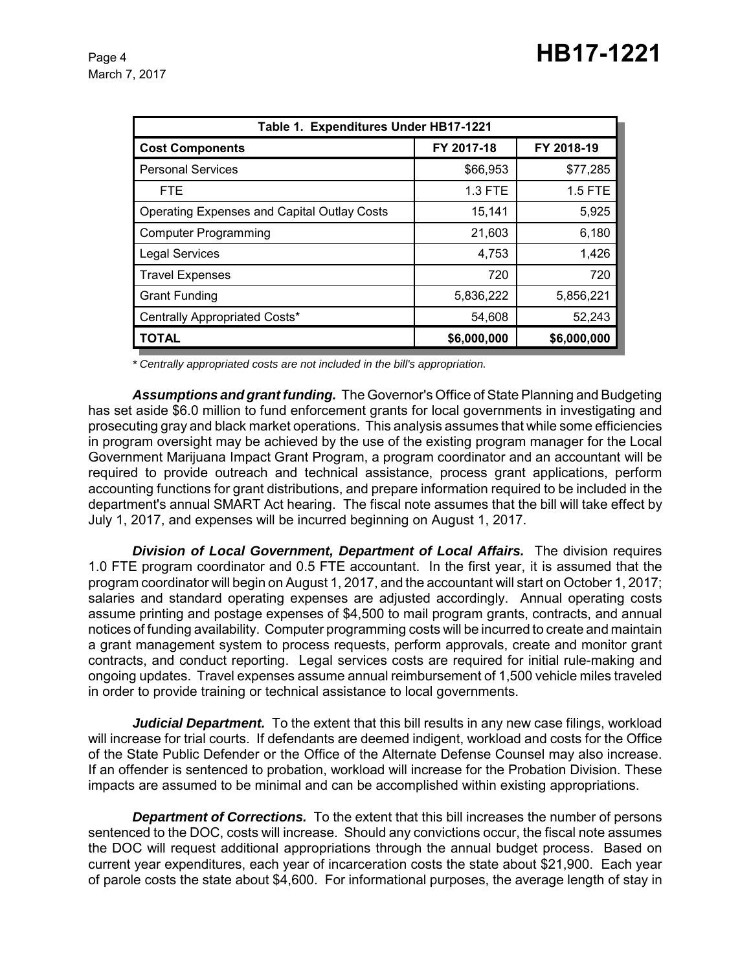| Table 1. Expenditures Under HB17-1221              |             |                |  |  |  |  |
|----------------------------------------------------|-------------|----------------|--|--|--|--|
| <b>Cost Components</b>                             | FY 2017-18  | FY 2018-19     |  |  |  |  |
| <b>Personal Services</b>                           | \$66,953    | \$77,285       |  |  |  |  |
| <b>FTE</b>                                         | 1.3 FTE     | <b>1.5 FTE</b> |  |  |  |  |
| <b>Operating Expenses and Capital Outlay Costs</b> | 15,141      | 5,925          |  |  |  |  |
| <b>Computer Programming</b>                        | 21,603      | 6,180          |  |  |  |  |
| <b>Legal Services</b>                              | 4,753       | 1,426          |  |  |  |  |
| <b>Travel Expenses</b>                             | 720         | 720            |  |  |  |  |
| <b>Grant Funding</b>                               | 5,836,222   | 5,856,221      |  |  |  |  |
| Centrally Appropriated Costs*                      | 54,608      | 52,243         |  |  |  |  |
| <b>TOTAL</b>                                       | \$6,000,000 | \$6,000,000    |  |  |  |  |

*\* Centrally appropriated costs are not included in the bill's appropriation.*

*Assumptions and grant funding.* The Governor's Office of State Planning and Budgeting has set aside \$6.0 million to fund enforcement grants for local governments in investigating and prosecuting gray and black market operations. This analysis assumes that while some efficiencies in program oversight may be achieved by the use of the existing program manager for the Local Government Marijuana Impact Grant Program, a program coordinator and an accountant will be required to provide outreach and technical assistance, process grant applications, perform accounting functions for grant distributions, and prepare information required to be included in the department's annual SMART Act hearing. The fiscal note assumes that the bill will take effect by July 1, 2017, and expenses will be incurred beginning on August 1, 2017.

**Division of Local Government, Department of Local Affairs.** The division requires 1.0 FTE program coordinator and 0.5 FTE accountant. In the first year, it is assumed that the program coordinator will begin on August 1, 2017, and the accountant will start on October 1, 2017; salaries and standard operating expenses are adjusted accordingly. Annual operating costs assume printing and postage expenses of \$4,500 to mail program grants, contracts, and annual notices of funding availability. Computer programming costs will be incurred to create and maintain a grant management system to process requests, perform approvals, create and monitor grant contracts, and conduct reporting. Legal services costs are required for initial rule-making and ongoing updates. Travel expenses assume annual reimbursement of 1,500 vehicle miles traveled in order to provide training or technical assistance to local governments.

*Judicial Department.* To the extent that this bill results in any new case filings, workload will increase for trial courts. If defendants are deemed indigent, workload and costs for the Office of the State Public Defender or the Office of the Alternate Defense Counsel may also increase. If an offender is sentenced to probation, workload will increase for the Probation Division. These impacts are assumed to be minimal and can be accomplished within existing appropriations.

**Department of Corrections.** To the extent that this bill increases the number of persons sentenced to the DOC, costs will increase. Should any convictions occur, the fiscal note assumes the DOC will request additional appropriations through the annual budget process. Based on current year expenditures, each year of incarceration costs the state about \$21,900. Each year of parole costs the state about \$4,600. For informational purposes, the average length of stay in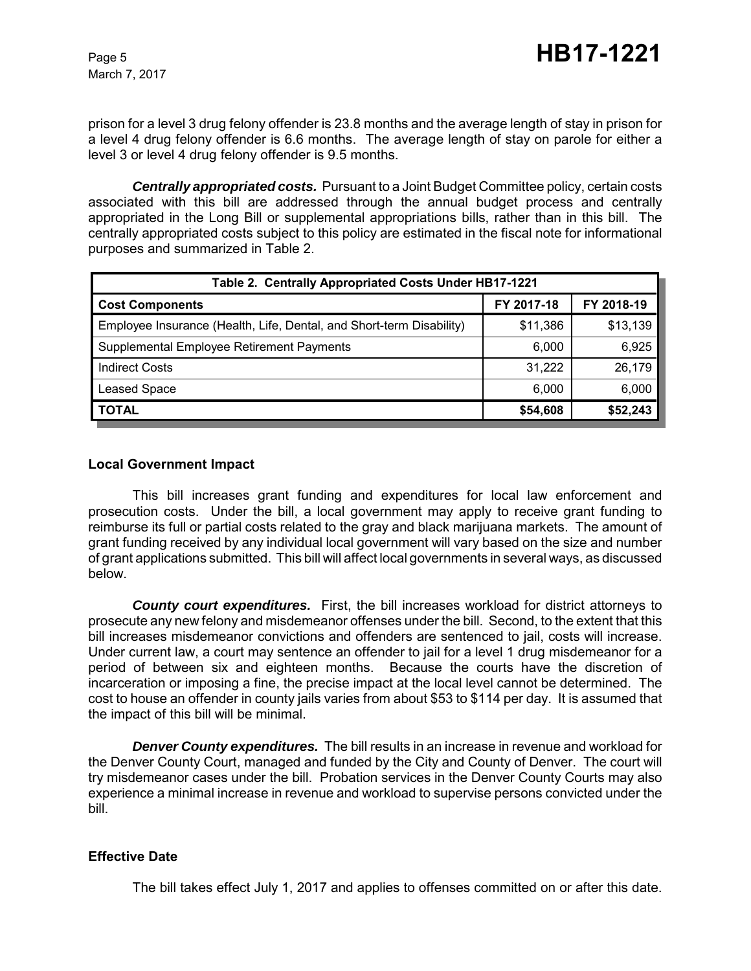prison for a level 3 drug felony offender is 23.8 months and the average length of stay in prison for a level 4 drug felony offender is 6.6 months. The average length of stay on parole for either a level 3 or level 4 drug felony offender is 9.5 months.

*Centrally appropriated costs.* Pursuant to a Joint Budget Committee policy, certain costs associated with this bill are addressed through the annual budget process and centrally appropriated in the Long Bill or supplemental appropriations bills, rather than in this bill. The centrally appropriated costs subject to this policy are estimated in the fiscal note for informational purposes and summarized in Table 2.

| Table 2. Centrally Appropriated Costs Under HB17-1221                |            |            |  |  |  |
|----------------------------------------------------------------------|------------|------------|--|--|--|
| <b>Cost Components</b>                                               | FY 2017-18 | FY 2018-19 |  |  |  |
| Employee Insurance (Health, Life, Dental, and Short-term Disability) | \$11,386   | \$13,139   |  |  |  |
| Supplemental Employee Retirement Payments                            | 6,000      | 6,925      |  |  |  |
| <b>Indirect Costs</b>                                                | 31,222     | 26,179     |  |  |  |
| <b>Leased Space</b>                                                  | 6,000      | 6,000      |  |  |  |
| <b>TOTAL</b>                                                         | \$54,608   | \$52,243   |  |  |  |

#### **Local Government Impact**

This bill increases grant funding and expenditures for local law enforcement and prosecution costs. Under the bill, a local government may apply to receive grant funding to reimburse its full or partial costs related to the gray and black marijuana markets. The amount of grant funding received by any individual local government will vary based on the size and number of grant applications submitted. This bill will affect local governments in several ways, as discussed below.

*County court expenditures.* First, the bill increases workload for district attorneys to prosecute any new felony and misdemeanor offenses under the bill. Second, to the extent that this bill increases misdemeanor convictions and offenders are sentenced to jail, costs will increase. Under current law, a court may sentence an offender to jail for a level 1 drug misdemeanor for a period of between six and eighteen months. Because the courts have the discretion of incarceration or imposing a fine, the precise impact at the local level cannot be determined. The cost to house an offender in county jails varies from about \$53 to \$114 per day. It is assumed that the impact of this bill will be minimal.

*Denver County expenditures.* The bill results in an increase in revenue and workload for the Denver County Court, managed and funded by the City and County of Denver. The court will try misdemeanor cases under the bill. Probation services in the Denver County Courts may also experience a minimal increase in revenue and workload to supervise persons convicted under the bill.

## **Effective Date**

The bill takes effect July 1, 2017 and applies to offenses committed on or after this date.